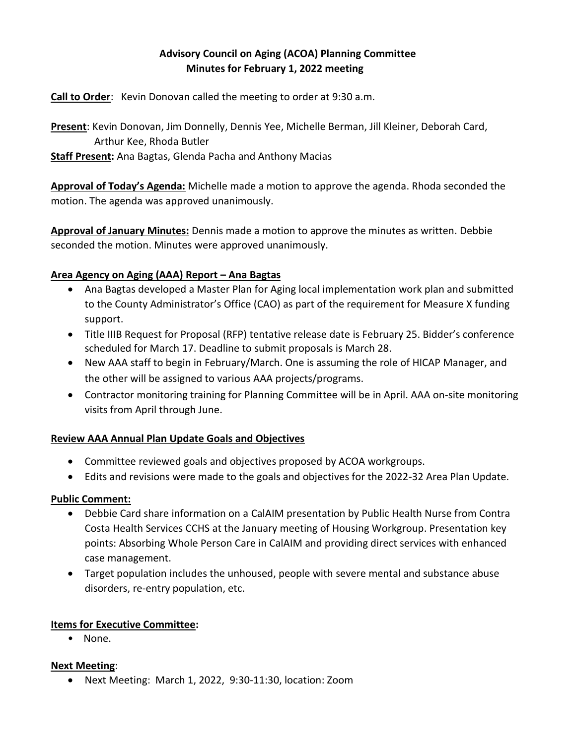# **Advisory Council on Aging (ACOA) Planning Committee Minutes for February 1, 2022 meeting**

**Call to Order**: Kevin Donovan called the meeting to order at 9:30 a.m.

**Present**: Kevin Donovan, Jim Donnelly, Dennis Yee, Michelle Berman, Jill Kleiner, Deborah Card, Arthur Kee, Rhoda Butler

**Staff Present:** Ana Bagtas, Glenda Pacha and Anthony Macias

**Approval of Today's Agenda:** Michelle made a motion to approve the agenda. Rhoda seconded the motion. The agenda was approved unanimously.

**Approval of January Minutes:** Dennis made a motion to approve the minutes as written. Debbie seconded the motion. Minutes were approved unanimously.

### **Area Agency on Aging (AAA) Report – Ana Bagtas**

- Ana Bagtas developed a Master Plan for Aging local implementation work plan and submitted to the County Administrator's Office (CAO) as part of the requirement for Measure X funding support.
- Title IIIB Request for Proposal (RFP) tentative release date is February 25. Bidder's conference scheduled for March 17. Deadline to submit proposals is March 28.
- New AAA staff to begin in February/March. One is assuming the role of HICAP Manager, and the other will be assigned to various AAA projects/programs.
- Contractor monitoring training for Planning Committee will be in April. AAA on-site monitoring visits from April through June.

# **Review AAA Annual Plan Update Goals and Objectives**

- Committee reviewed goals and objectives proposed by ACOA workgroups.
- Edits and revisions were made to the goals and objectives for the 2022-32 Area Plan Update.

#### **Public Comment:**

- Debbie Card share information on a CalAIM presentation by Public Health Nurse from Contra Costa Health Services CCHS at the January meeting of Housing Workgroup. Presentation key points: Absorbing Whole Person Care in CalAIM and providing direct services with enhanced case management.
- Target population includes the unhoused, people with severe mental and substance abuse disorders, re-entry population, etc.

#### **Items for Executive Committee:**

• None.

#### **Next Meeting**:

Next Meeting: March 1, 2022, 9:30-11:30, location: Zoom